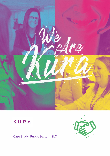

# KURA

Case Study: Public Sector – SLC

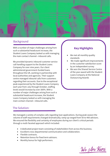

## Background

With a number of major challenges arising from such a substantial headcount increase, the Student Loans Company tasked us with managing the main contact channel—inbound calls.

We provided dynamic inbound customer service call handling support to the Student Loans Company for over nine years. Our client administered government-funded loans throughout the UK, working in partnership with local authorities and agencies. Their support centre managed inbound calls from customers regarding their accounts. Due to the exceptional peak experienced by the Student Loans Company each year from July through October, staffing levels would increase by over 300%. With a number of major challenges arising from such a substantial headcount increase, the Student Loans Company tasked us with managing the main contact channel—inbound calls.

## **Key Highlights**

- We met all monthly quality standards
- We made significant improvements in the customer satisfaction score by an independent survey
- We won the Shared Service Centre of the year award with the Student Loans Company at the National Outsourcing Awards

## The Solution:

We managed a variety of complex calls regarding loan applications. During peak season the volume of staff requirements changed dramatically; ramp up ranged from 50 to 400 advisors. We ensured the flexibility and certainty of employees during our client's critical periods through a multi-faceted approach which included:

- A dedicated project team consisting of stakeholders from across the business.
- Excellent cross-departmental communication and collaboration.
- Flexible contracts.
- Retention bonus for fixed term advisors.
- Monthly bonus for high performers.